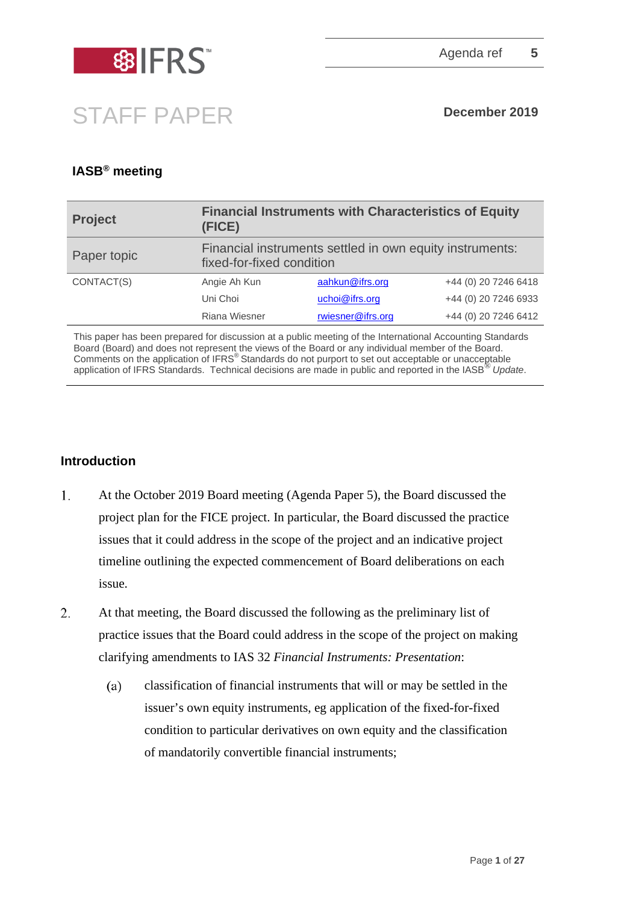

# STAFF PAPER **December <sup>2019</sup>**

# **IASB® meeting**

| <b>Project</b> | <b>Financial Instruments with Characteristics of Equity</b><br>(FICE)                 |                   |                      |
|----------------|---------------------------------------------------------------------------------------|-------------------|----------------------|
| Paper topic    | Financial instruments settled in own equity instruments:<br>fixed-for-fixed condition |                   |                      |
| CONTACT(S)     | Angie Ah Kun                                                                          | aahkun@ifrs.org   | +44 (0) 20 7246 6418 |
|                | Uni Choi                                                                              | uchoi@ifrs.org    | +44 (0) 20 7246 6933 |
|                | Riana Wiesner                                                                         | rwiesner@ifrs.org | +44 (0) 20 7246 6412 |
|                |                                                                                       |                   |                      |

This paper has been prepared for discussion at a public meeting of the International Accounting Standards Board (Board) and does not represent the views of the Board or any individual member of the Board. Comments on the application of IFRS<sup>®</sup> Standards do not purport to set out acceptable or unacceptable application of IFRS Standards. Technical decisions are made in public and reported in the IASB® *Update*.

# **Introduction**

- $1.$ At the October 2019 Board meeting [\(Agenda Paper 5\)](https://www.ifrs.org/-/media/feature/meetings/2019/october/iasb/ap5-fice.pdf), the Board discussed the project plan for the FICE project. In particular, the Board discussed the practice issues that it could address in the scope of the project and an indicative project timeline outlining the expected commencement of Board deliberations on each issue.
- 2. At that meeting, the Board discussed the following as the preliminary list of practice issues that the Board could address in the scope of the project on making clarifying amendments to IAS 32 *Financial Instruments: Presentation*:
	- $(a)$ classification of financial instruments that will or may be settled in the issuer's own equity instruments, eg application of the fixed-for-fixed condition to particular derivatives on own equity and the classification of mandatorily convertible financial instruments;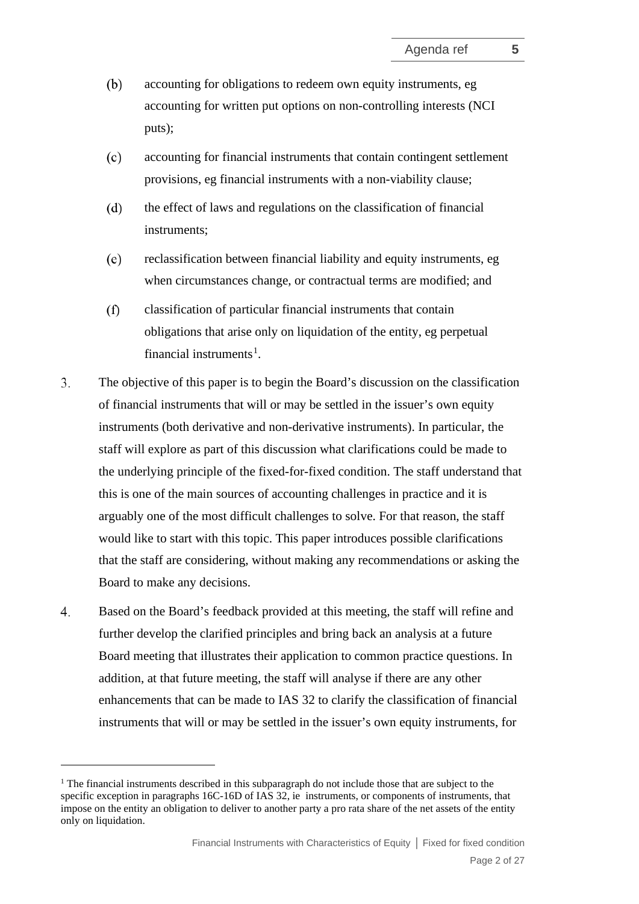- accounting for obligations to redeem own equity instruments, eg  $(b)$ accounting for written put options on non-controlling interests (NCI puts);
- $(c)$ accounting for financial instruments that contain contingent settlement provisions, eg financial instruments with a non-viability clause;
- $(d)$ the effect of laws and regulations on the classification of financial instruments;
- $(e)$ reclassification between financial liability and equity instruments, eg when circumstances change, or contractual terms are modified; and
- $(f)$ classification of particular financial instruments that contain obligations that arise only on liquidation of the entity, eg perpetual financial instruments<sup>[1](#page-1-0)</sup>.
- $\overline{3}$ . The objective of this paper is to begin the Board's discussion on the classification of financial instruments that will or may be settled in the issuer's own equity instruments (both derivative and non-derivative instruments). In particular, the staff will explore as part of this discussion what clarifications could be made to the underlying principle of the fixed-for-fixed condition. The staff understand that this is one of the main sources of accounting challenges in practice and it is arguably one of the most difficult challenges to solve. For that reason, the staff would like to start with this topic. This paper introduces possible clarifications that the staff are considering, without making any recommendations or asking the Board to make any decisions.
- 4. Based on the Board's feedback provided at this meeting, the staff will refine and further develop the clarified principles and bring back an analysis at a future Board meeting that illustrates their application to common practice questions. In addition, at that future meeting, the staff will analyse if there are any other enhancements that can be made to IAS 32 to clarify the classification of financial instruments that will or may be settled in the issuer's own equity instruments, for

<span id="page-1-0"></span><sup>&</sup>lt;sup>1</sup> The financial instruments described in this subparagraph do not include those that are subject to the specific exception in paragraphs 16C-16D of IAS 32, ie instruments, or components of instruments, that impose on the entity an obligation to deliver to another party a pro rata share of the net assets of the entity only on liquidation.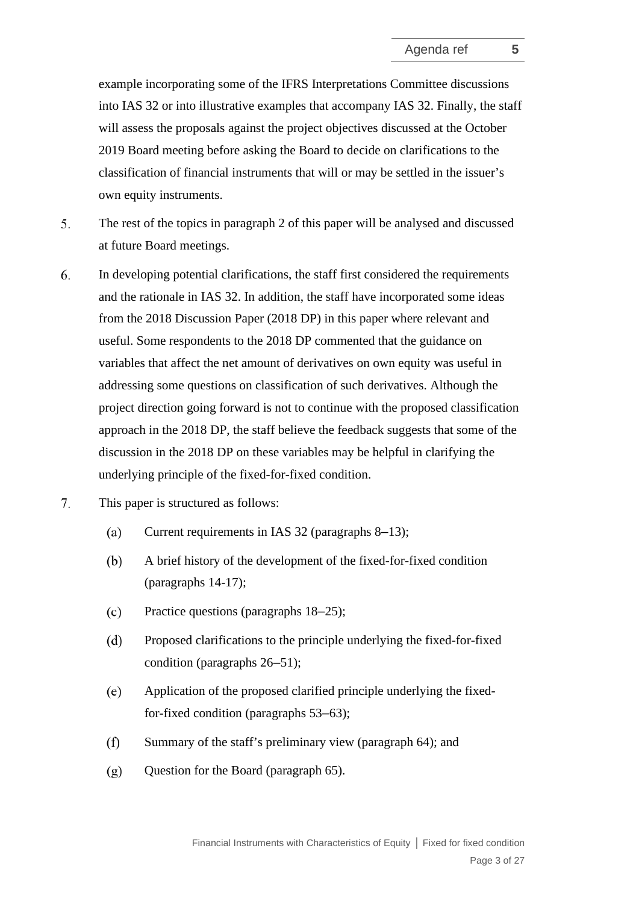example incorporating some of the IFRS Interpretations Committee discussions into IAS 32 or into illustrative examples that accompany IAS 32. Finally, the staff will assess the proposals against the project objectives discussed at the October 2019 Board meeting before asking the Board to decide on clarifications to the classification of financial instruments that will or may be settled in the issuer's own equity instruments.

- 5. The rest of the topics in paragraph 2 of this paper will be analysed and discussed at future Board meetings.
- 6. In developing potential clarifications, the staff first considered the requirements and the rationale in IAS 32. In addition, the staff have incorporated some ideas from the 2018 Discussion Paper (2018 DP) in this paper where relevant and useful. Some respondents to the 2018 DP commented that the guidance on variables that affect the net amount of derivatives on own equity was useful in addressing some questions on classification of such derivatives. Although the project direction going forward is not to continue with the proposed classification approach in the 2018 DP, the staff believe the feedback suggests that some of the discussion in the 2018 DP on these variables may be helpful in clarifying the underlying principle of the fixed-for-fixed condition.
- $7<sub>1</sub>$ This paper is structured as follows:
	- $(a)$ Current requirements in IAS 32 (paragraphs [8](#page-3-0)–[13\)](#page-5-0);
	- $(b)$ A brief history of the development of the fixed-for-fixed condition (paragraphs [14-](#page-5-1)[17\)](#page-7-0);
	- Practice questions (paragraphs [18](#page-7-1)–[25\)](#page-10-0);  $(c)$
	- Proposed clarifications to the principle underlying the fixed-for-fixed  $(d)$ condition (paragraphs [26](#page-11-0)–[51\)](#page-20-0);
	- $(e)$ Application of the proposed clarified principle underlying the fixedfor-fixed condition (paragraphs [53](#page-21-0)–[63\)](#page-25-0);
	- $(f)$ Summary of the staff's preliminary view (paragraph [64\)](#page-25-1); and
	- $(g)$ Question for the Board (paragraph [65\)](#page-26-0).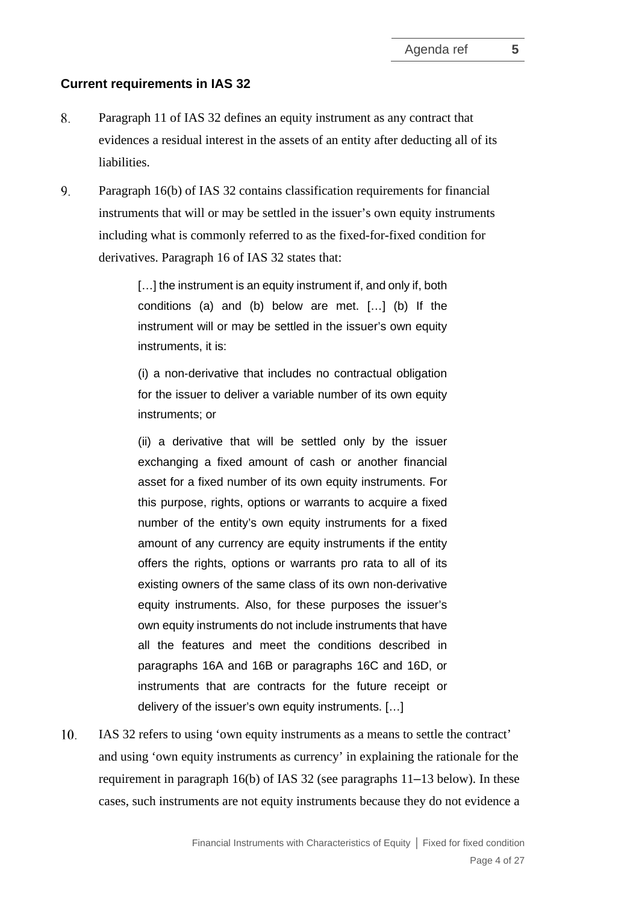#### **Current requirements in IAS 32**

- <span id="page-3-0"></span>8. Paragraph 11 of IAS 32 defines an equity instrument as any contract that evidences a residual interest in the assets of an entity after deducting all of its liabilities.
- <span id="page-3-1"></span>9. Paragraph 16(b) of IAS 32 contains classification requirements for financial instruments that will or may be settled in the issuer's own equity instruments including what is commonly referred to as the fixed-for-fixed condition for derivatives. Paragraph 16 of IAS 32 states that:

[...] the instrument is an equity instrument if, and only if, both conditions (a) and (b) below are met. […] (b) If the instrument will or may be settled in the issuer's own equity instruments, it is:

(i) a non‑derivative that includes no contractual obligation for the issuer to deliver a variable number of its own equity instruments; or

(ii) a derivative that will be settled only by the issuer exchanging a fixed amount of cash or another financial asset for a fixed number of its own equity instruments. For this purpose, rights, options or warrants to acquire a fixed number of the entity's own equity instruments for a fixed amount of any currency are equity instruments if the entity offers the rights, options or warrants pro rata to all of its existing owners of the same class of its own non‑derivative equity instruments. Also, for these purposes the issuer's own equity instruments do not include instruments that have all the features and meet the conditions described in paragraphs 16A and 16B or paragraphs 16C and 16D, or instruments that are contracts for the future receipt or delivery of the issuer's own equity instruments. […]

10. IAS 32 refers to using 'own equity instruments as a means to settle the contract' and using 'own equity instruments as currency' in explaining the rationale for the requirement in paragraph 16(b) of IAS 32 (see paragraphs [11](#page-4-0)–[13](#page-5-0) below). In these cases, such instruments are not equity instruments because they do not evidence a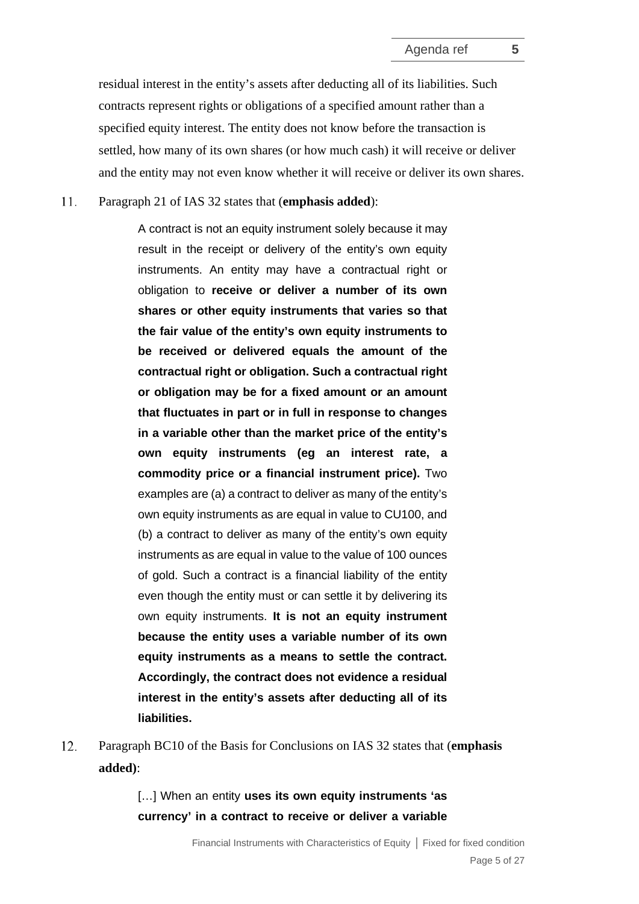residual interest in the entity's assets after deducting all of its liabilities. Such contracts represent rights or obligations of a specified amount rather than a specified equity interest. The entity does not know before the transaction is settled, how many of its own shares (or how much cash) it will receive or deliver and the entity may not even know whether it will receive or deliver its own shares.

<span id="page-4-0"></span>11. Paragraph 21 of IAS 32 states that (**emphasis added**):

> A contract is not an equity instrument solely because it may result in the receipt or delivery of the entity's own equity instruments. An entity may have a contractual right or obligation to **receive or deliver a number of its own shares or other equity instruments that varies so that the fair value of the entity's own equity instruments to be received or delivered equals the amount of the contractual right or obligation. Such a contractual right or obligation may be for a fixed amount or an amount that fluctuates in part or in full in response to changes in a variable other than the market price of the entity's own equity instruments (eg an interest rate, a commodity price or a financial instrument price).** Two examples are (a) a contract to deliver as many of the entity's own equity instruments as are equal in value to CU100, and (b) a contract to deliver as many of the entity's own equity instruments as are equal in value to the value of 100 ounces of gold. Such a contract is a financial liability of the entity even though the entity must or can settle it by delivering its own equity instruments. **It is not an equity instrument because the entity uses a variable number of its own equity instruments as a means to settle the contract. Accordingly, the contract does not evidence a residual interest in the entity's assets after deducting all of its liabilities.**

12. Paragraph BC10 of the Basis for Conclusions on IAS 32 states that (**emphasis added)**:

# […] When an entity **uses its own equity instruments 'as currency' in a contract to receive or deliver a variable**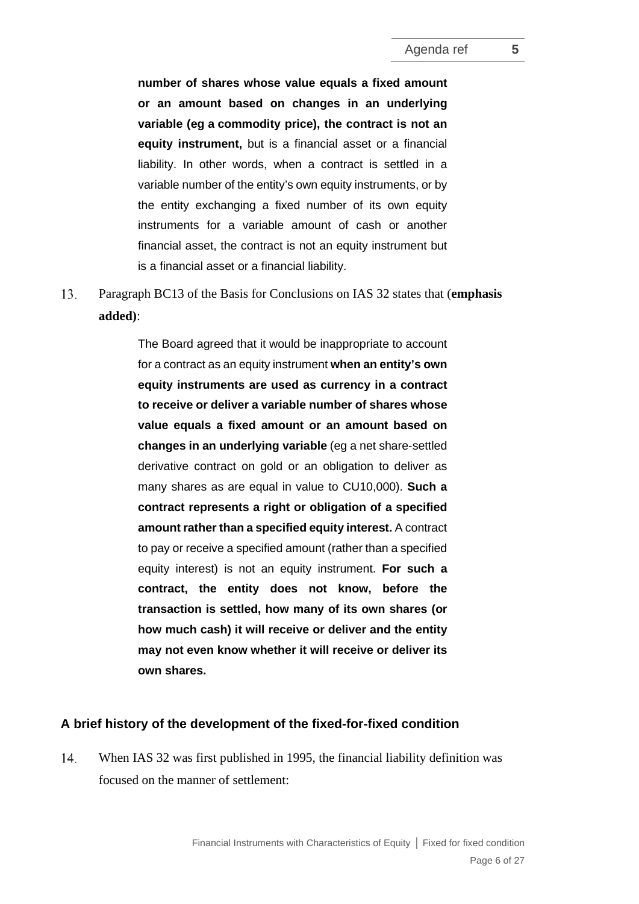**number of shares whose value equals a fixed amount or an amount based on changes in an underlying variable (eg a commodity price), the contract is not an equity instrument,** but is a financial asset or a financial liability. In other words, when a contract is settled in a variable number of the entity's own equity instruments, or by the entity exchanging a fixed number of its own equity instruments for a variable amount of cash or another financial asset, the contract is not an equity instrument but is a financial asset or a financial liability.

<span id="page-5-0"></span>13. Paragraph BC13 of the Basis for Conclusions on IAS 32 states that (**emphasis added)**:

> The Board agreed that it would be inappropriate to account for a contract as an equity instrument **when an entity's own equity instruments are used as currency in a contract to receive or deliver a variable number of shares whose value equals a fixed amount or an amount based on changes in an underlying variable** (eg a net share‑settled derivative contract on gold or an obligation to deliver as many shares as are equal in value to CU10,000). **Such a contract represents a right or obligation of a specified amount rather than a specified equity interest.** A contract to pay or receive a specified amount (rather than a specified equity interest) is not an equity instrument. **For such a contract, the entity does not know, before the transaction is settled, how many of its own shares (or how much cash) it will receive or deliver and the entity may not even know whether it will receive or deliver its own shares.**

#### **A brief history of the development of the fixed-for-fixed condition**

<span id="page-5-1"></span>14. When IAS 32 was first published in 1995, the financial liability definition was focused on the manner of settlement: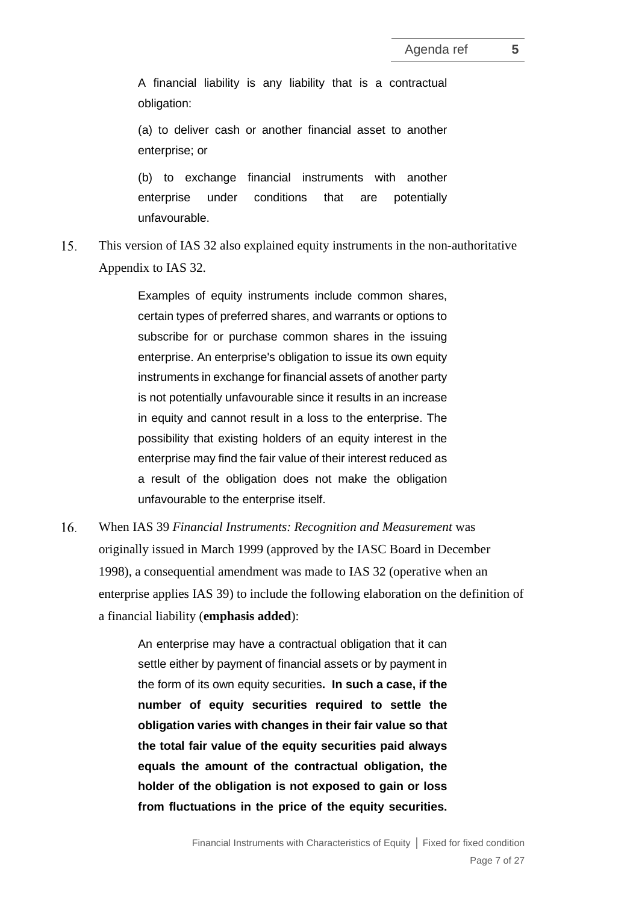A financial liability is any liability that is a contractual obligation:

(a) to deliver cash or another financial asset to another enterprise; or

(b) to exchange financial instruments with another enterprise under conditions that are potentially unfavourable.

15. This version of IAS 32 also explained equity instruments in the non-authoritative Appendix to IAS 32.

> Examples of equity instruments include common shares, certain types of preferred shares, and warrants or options to subscribe for or purchase common shares in the issuing enterprise. An enterprise's obligation to issue its own equity instruments in exchange for financial assets of another party is not potentially unfavourable since it results in an increase in equity and cannot result in a loss to the enterprise. The possibility that existing holders of an equity interest in the enterprise may find the fair value of their interest reduced as a result of the obligation does not make the obligation unfavourable to the enterprise itself.

16. When IAS 39 *Financial Instruments: Recognition and Measurement* was originally issued in March 1999 (approved by the IASC Board in December 1998), a consequential amendment was made to IAS 32 (operative when an enterprise applies IAS 39) to include the following elaboration on the definition of a financial liability (**emphasis added**):

> An enterprise may have a contractual obligation that it can settle either by payment of financial assets or by payment in the form of its own equity securities**. In such a case, if the number of equity securities required to settle the obligation varies with changes in their fair value so that the total fair value of the equity securities paid always equals the amount of the contractual obligation, the holder of the obligation is not exposed to gain or loss from fluctuations in the price of the equity securities.**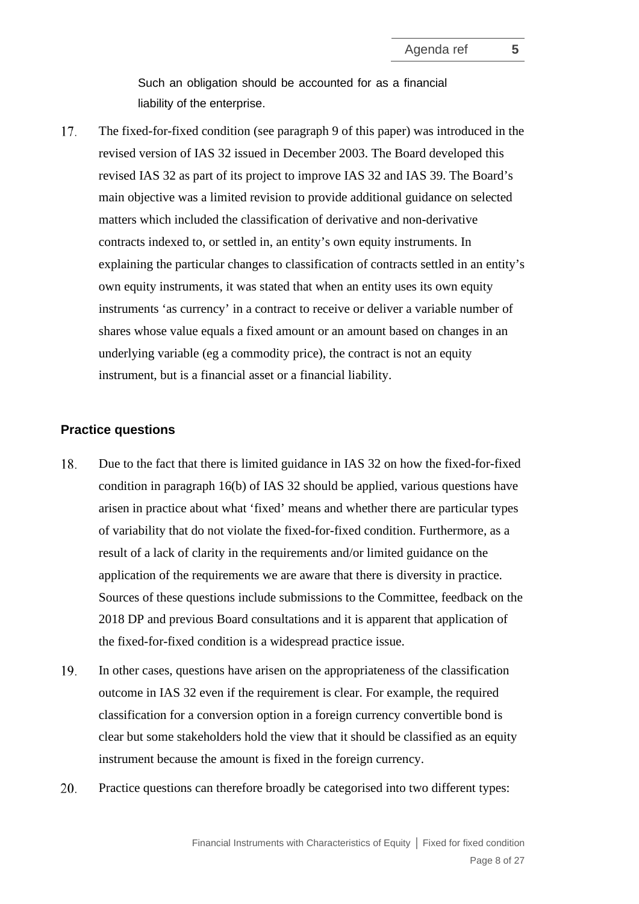Such an obligation should be accounted for as a financial liability of the enterprise.

<span id="page-7-0"></span>17. The fixed-for-fixed condition (see paragraph [9](#page-3-1) of this paper) was introduced in the revised version of IAS 32 issued in December 2003. The Board developed this revised IAS 32 as part of its project to improve IAS 32 and IAS 39. The Board's main objective was a limited revision to provide additional guidance on selected matters which included the classification of derivative and non-derivative contracts indexed to, or settled in, an entity's own equity instruments. In explaining the particular changes to classification of contracts settled in an entity's own equity instruments, it was stated that when an entity uses its own equity instruments 'as currency' in a contract to receive or deliver a variable number of shares whose value equals a fixed amount or an amount based on changes in an underlying variable (eg a commodity price), the contract is not an equity instrument, but is a financial asset or a financial liability.

### **Practice questions**

- <span id="page-7-1"></span>18. Due to the fact that there is limited guidance in IAS 32 on how the fixed-for-fixed condition in paragraph 16(b) of IAS 32 should be applied, various questions have arisen in practice about what 'fixed' means and whether there are particular types of variability that do not violate the fixed-for-fixed condition. Furthermore, as a result of a lack of clarity in the requirements and/or limited guidance on the application of the requirements we are aware that there is diversity in practice. Sources of these questions include submissions to the Committee, feedback on the 2018 DP and previous Board consultations and it is apparent that application of the fixed-for-fixed condition is a widespread practice issue.
- <span id="page-7-2"></span>19. In other cases, questions have arisen on the appropriateness of the classification outcome in IAS 32 even if the requirement is clear. For example, the required classification for a conversion option in a foreign currency convertible bond is clear but some stakeholders hold the view that it should be classified as an equity instrument because the amount is fixed in the foreign currency.
- 20. Practice questions can therefore broadly be categorised into two different types: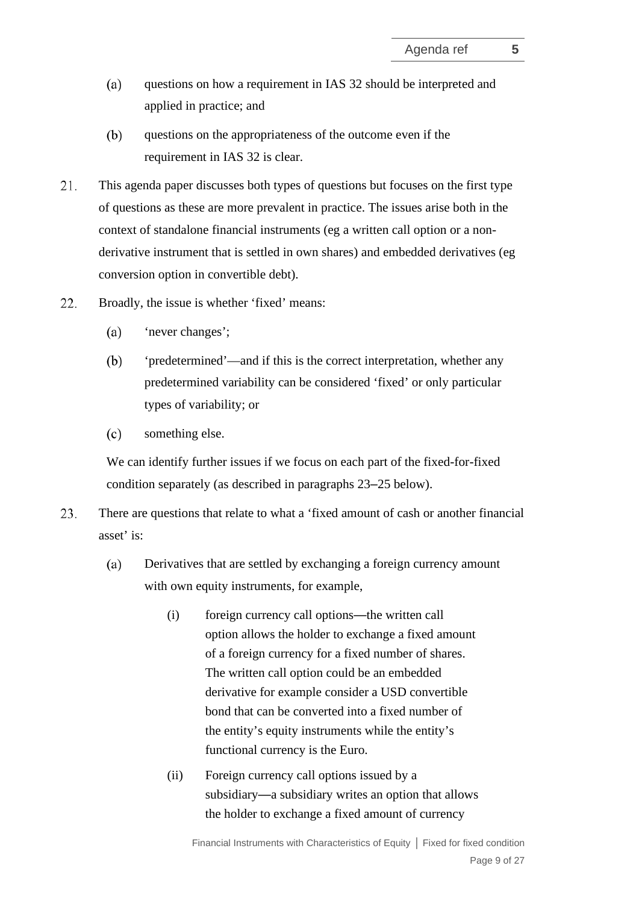- $(a)$ questions on how a requirement in IAS 32 should be interpreted and applied in practice; and
- $(b)$ questions on the appropriateness of the outcome even if the requirement in IAS 32 is clear.
- 21. This agenda paper discusses both types of questions but focuses on the first type of questions as these are more prevalent in practice. The issues arise both in the context of standalone financial instruments (eg a written call option or a nonderivative instrument that is settled in own shares) and embedded derivatives (eg conversion option in convertible debt).
- <span id="page-8-1"></span>22. Broadly, the issue is whether 'fixed' means:
	- $(a)$ 'never changes';
	- $(b)$ 'predetermined'—and if this is the correct interpretation, whether any predetermined variability can be considered 'fixed' or only particular types of variability; or
	- $(c)$ something else.

We can identify further issues if we focus on each part of the fixed-for-fixed condition separately (as described in paragraphs [23](#page-8-0)–[25](#page-10-0) below).

- <span id="page-8-0"></span>23. There are questions that relate to what a 'fixed amount of cash or another financial asset' is:
	- $(a)$ Derivatives that are settled by exchanging a foreign currency amount with own equity instruments, for example,
		- (i) foreign currency call options—the written call option allows the holder to exchange a fixed amount of a foreign currency for a fixed number of shares. The written call option could be an embedded derivative for example consider a USD convertible bond that can be converted into a fixed number of the entity's equity instruments while the entity's functional currency is the Euro.
		- (ii) Foreign currency call options issued by a subsidiary—a subsidiary writes an option that allows the holder to exchange a fixed amount of currency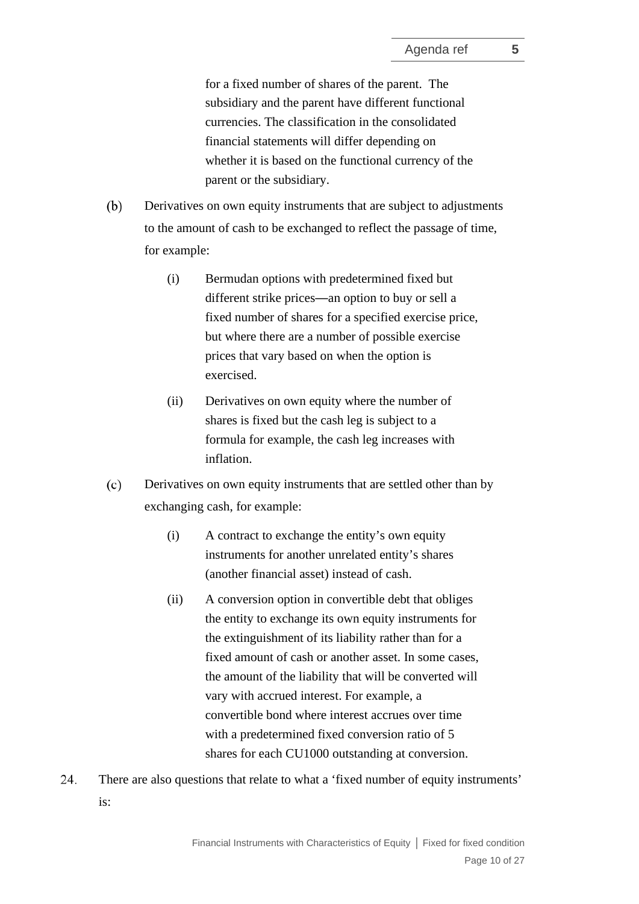for a fixed number of shares of the parent. The subsidiary and the parent have different functional currencies. The classification in the consolidated financial statements will differ depending on whether it is based on the functional currency of the parent or the subsidiary.

- $(b)$ Derivatives on own equity instruments that are subject to adjustments to the amount of cash to be exchanged to reflect the passage of time, for example:
	- (i) Bermudan options with predetermined fixed but different strike prices—an option to buy or sell a fixed number of shares for a specified exercise price, but where there are a number of possible exercise prices that vary based on when the option is exercised.
	- (ii) Derivatives on own equity where the number of shares is fixed but the cash leg is subject to a formula for example, the cash leg increases with inflation.
- $(c)$ Derivatives on own equity instruments that are settled other than by exchanging cash, for example:
	- (i) A contract to exchange the entity's own equity instruments for another unrelated entity's shares (another financial asset) instead of cash.
	- (ii) A conversion option in convertible debt that obliges the entity to exchange its own equity instruments for the extinguishment of its liability rather than for a fixed amount of cash or another asset. In some cases, the amount of the liability that will be converted will vary with accrued interest. For example, a convertible bond where interest accrues over time with a predetermined fixed conversion ratio of 5 shares for each CU1000 outstanding at conversion.
- 24. There are also questions that relate to what a 'fixed number of equity instruments' is: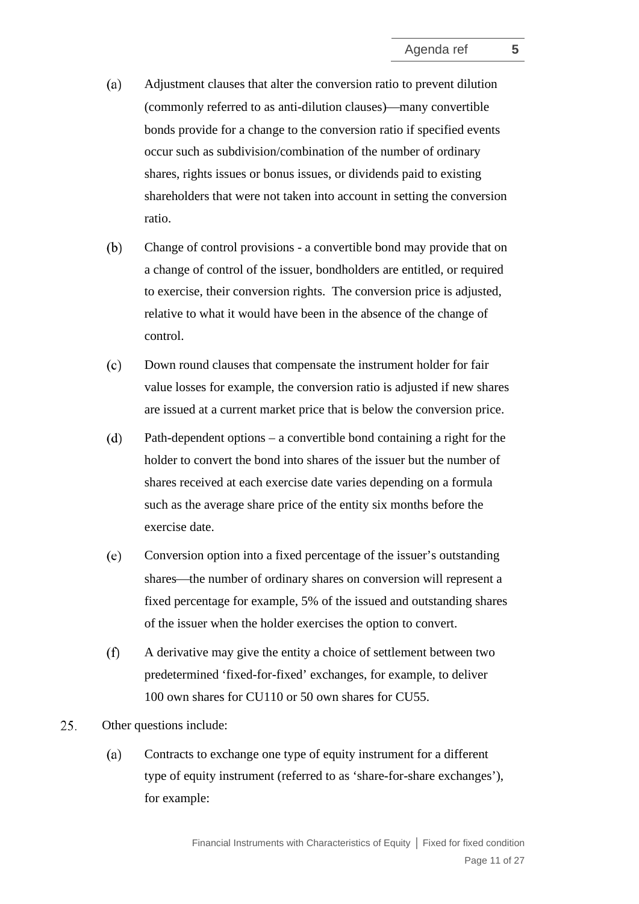- $(a)$ Adjustment clauses that alter the conversion ratio to prevent dilution (commonly referred to as anti-dilution clauses)—many convertible bonds provide for a change to the conversion ratio if specified events occur such as subdivision/combination of the number of ordinary shares, rights issues or bonus issues, or dividends paid to existing shareholders that were not taken into account in setting the conversion ratio.
- $(b)$ Change of control provisions - a convertible bond may provide that on a change of control of the issuer, bondholders are entitled, or required to exercise, their conversion rights. The conversion price is adjusted, relative to what it would have been in the absence of the change of control.
- $(c)$ Down round clauses that compensate the instrument holder for fair value losses for example, the conversion ratio is adjusted if new shares are issued at a current market price that is below the conversion price.
- $(d)$ Path-dependent options – a convertible bond containing a right for the holder to convert the bond into shares of the issuer but the number of shares received at each exercise date varies depending on a formula such as the average share price of the entity six months before the exercise date.
- $(e)$ Conversion option into a fixed percentage of the issuer's outstanding shares—the number of ordinary shares on conversion will represent a fixed percentage for example, 5% of the issued and outstanding shares of the issuer when the holder exercises the option to convert.
- $(f)$ A derivative may give the entity a choice of settlement between two predetermined 'fixed-for-fixed' exchanges, for example, to deliver 100 own shares for CU110 or 50 own shares for CU55.
- <span id="page-10-0"></span>25. Other questions include:
	- $(a)$ Contracts to exchange one type of equity instrument for a different type of equity instrument (referred to as 'share-for-share exchanges'), for example: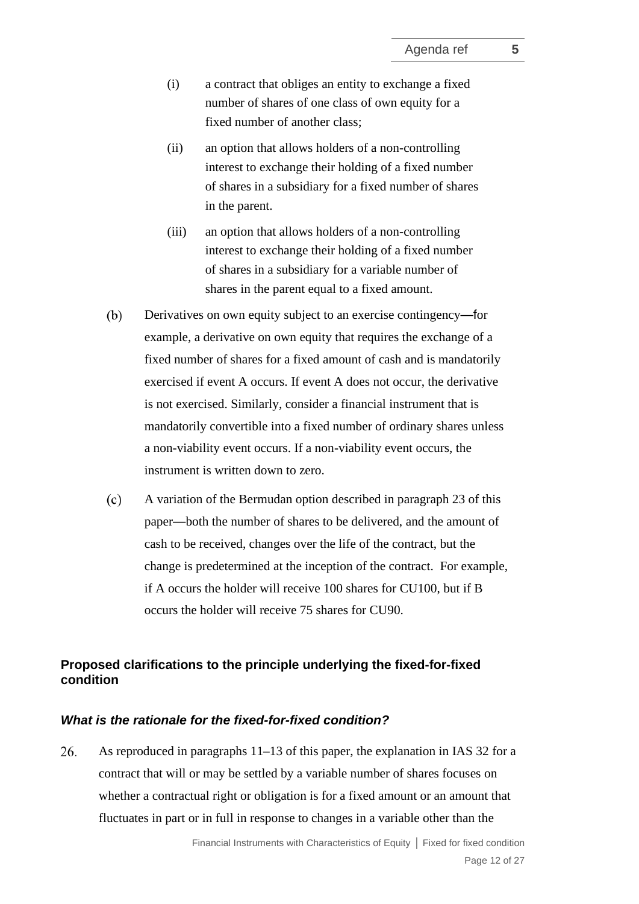- (i) a contract that obliges an entity to exchange a fixed number of shares of one class of own equity for a fixed number of another class;
- (ii) an option that allows holders of a non-controlling interest to exchange their holding of a fixed number of shares in a subsidiary for a fixed number of shares in the parent.
- (iii) an option that allows holders of a non-controlling interest to exchange their holding of a fixed number of shares in a subsidiary for a variable number of shares in the parent equal to a fixed amount.
- $(b)$ Derivatives on own equity subject to an exercise contingency—for example, a derivative on own equity that requires the exchange of a fixed number of shares for a fixed amount of cash and is mandatorily exercised if event A occurs. If event A does not occur, the derivative is not exercised. Similarly, consider a financial instrument that is mandatorily convertible into a fixed number of ordinary shares unless a non-viability event occurs. If a non-viability event occurs, the instrument is written down to zero.
- $(c)$ A variation of the Bermudan option described in paragraph [23](#page-8-0) of this paper—both the number of shares to be delivered, and the amount of cash to be received, changes over the life of the contract, but the change is predetermined at the inception of the contract. For example, if A occurs the holder will receive 100 shares for CU100, but if B occurs the holder will receive 75 shares for CU90.

# **Proposed clarifications to the principle underlying the fixed-for-fixed condition**

#### *What is the rationale for the fixed-for-fixed condition?*

<span id="page-11-0"></span>26. As reproduced in paragraphs [11–](#page-4-0)[13](#page-5-0) of this paper, the explanation in IAS 32 for a contract that will or may be settled by a variable number of shares focuses on whether a contractual right or obligation is for a fixed amount or an amount that fluctuates in part or in full in response to changes in a variable other than the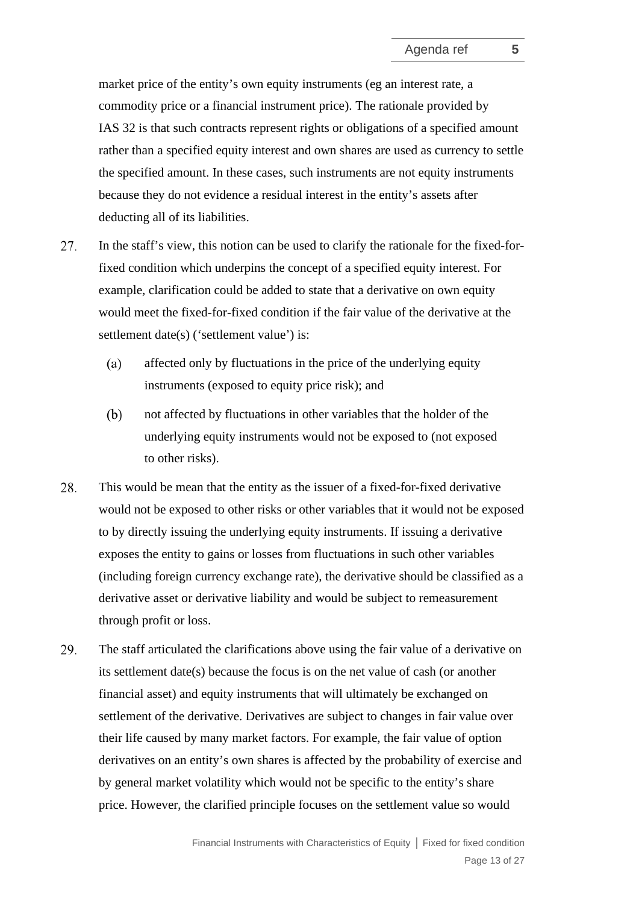market price of the entity's own equity instruments (eg an interest rate, a commodity price or a financial instrument price). The rationale provided by IAS 32 is that such contracts represent rights or obligations of a specified amount rather than a specified equity interest and own shares are used as currency to settle the specified amount. In these cases, such instruments are not equity instruments because they do not evidence a residual interest in the entity's assets after deducting all of its liabilities.

- <span id="page-12-0"></span>27. In the staff's view, this notion can be used to clarify the rationale for the fixed-forfixed condition which underpins the concept of a specified equity interest. For example, clarification could be added to state that a derivative on own equity would meet the fixed-for-fixed condition if the fair value of the derivative at the settlement date(s) ('settlement value') is:
	- $(a)$ affected only by fluctuations in the price of the underlying equity instruments (exposed to equity price risk); and
	- $(b)$ not affected by fluctuations in other variables that the holder of the underlying equity instruments would not be exposed to (not exposed to other risks).
- <span id="page-12-1"></span>28. This would be mean that the entity as the issuer of a fixed-for-fixed derivative would not be exposed to other risks or other variables that it would not be exposed to by directly issuing the underlying equity instruments. If issuing a derivative exposes the entity to gains or losses from fluctuations in such other variables (including foreign currency exchange rate), the derivative should be classified as a derivative asset or derivative liability and would be subject to remeasurement through profit or loss.
- 29. The staff articulated the clarifications above using the fair value of a derivative on its settlement date(s) because the focus is on the net value of cash (or another financial asset) and equity instruments that will ultimately be exchanged on settlement of the derivative. Derivatives are subject to changes in fair value over their life caused by many market factors. For example, the fair value of option derivatives on an entity's own shares is affected by the probability of exercise and by general market volatility which would not be specific to the entity's share price. However, the clarified principle focuses on the settlement value so would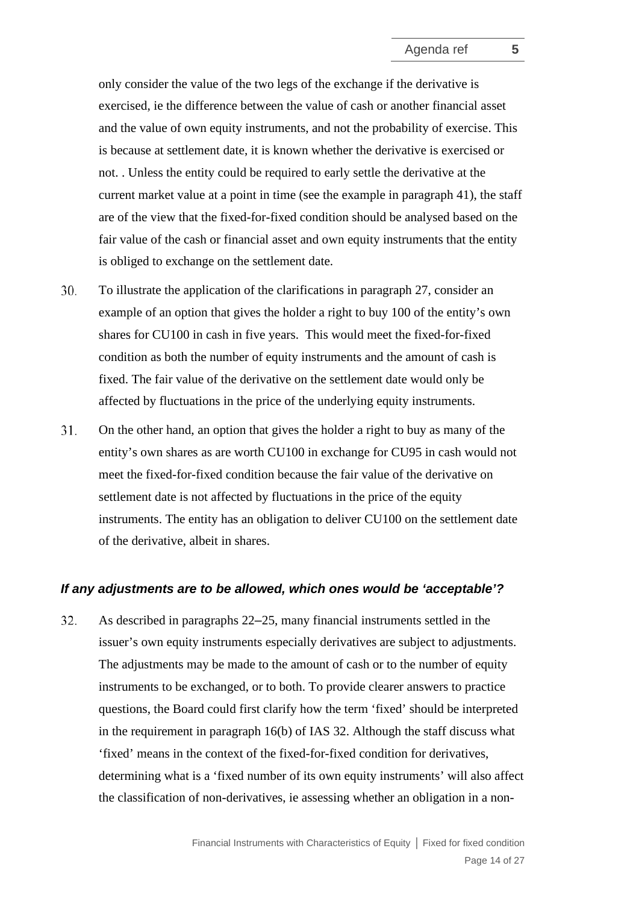only consider the value of the two legs of the exchange if the derivative is exercised, ie the difference between the value of cash or another financial asset and the value of own equity instruments, and not the probability of exercise. This is because at settlement date, it is known whether the derivative is exercised or not. . Unless the entity could be required to early settle the derivative at the current market value at a point in time (see the example in paragraph [41\)](#page-17-0), the staff are of the view that the fixed-for-fixed condition should be analysed based on the fair value of the cash or financial asset and own equity instruments that the entity is obliged to exchange on the settlement date.

- 30. To illustrate the application of the clarifications in paragraph [27,](#page-12-0) consider an example of an option that gives the holder a right to buy 100 of the entity's own shares for CU100 in cash in five years. This would meet the fixed-for-fixed condition as both the number of equity instruments and the amount of cash is fixed. The fair value of the derivative on the settlement date would only be affected by fluctuations in the price of the underlying equity instruments.
- $31.$ On the other hand, an option that gives the holder a right to buy as many of the entity's own shares as are worth CU100 in exchange for CU95 in cash would not meet the fixed-for-fixed condition because the fair value of the derivative on settlement date is not affected by fluctuations in the price of the equity instruments. The entity has an obligation to deliver CU100 on the settlement date of the derivative, albeit in shares.

#### *If any adjustments are to be allowed, which ones would be 'acceptable'?*

<span id="page-13-0"></span>32. As described in paragraphs [22](#page-8-1)–[25,](#page-10-0) many financial instruments settled in the issuer's own equity instruments especially derivatives are subject to adjustments. The adjustments may be made to the amount of cash or to the number of equity instruments to be exchanged, or to both. To provide clearer answers to practice questions, the Board could first clarify how the term 'fixed' should be interpreted in the requirement in paragraph 16(b) of IAS 32. Although the staff discuss what 'fixed' means in the context of the fixed-for-fixed condition for derivatives, determining what is a 'fixed number of its own equity instruments' will also affect the classification of non-derivatives, ie assessing whether an obligation in a non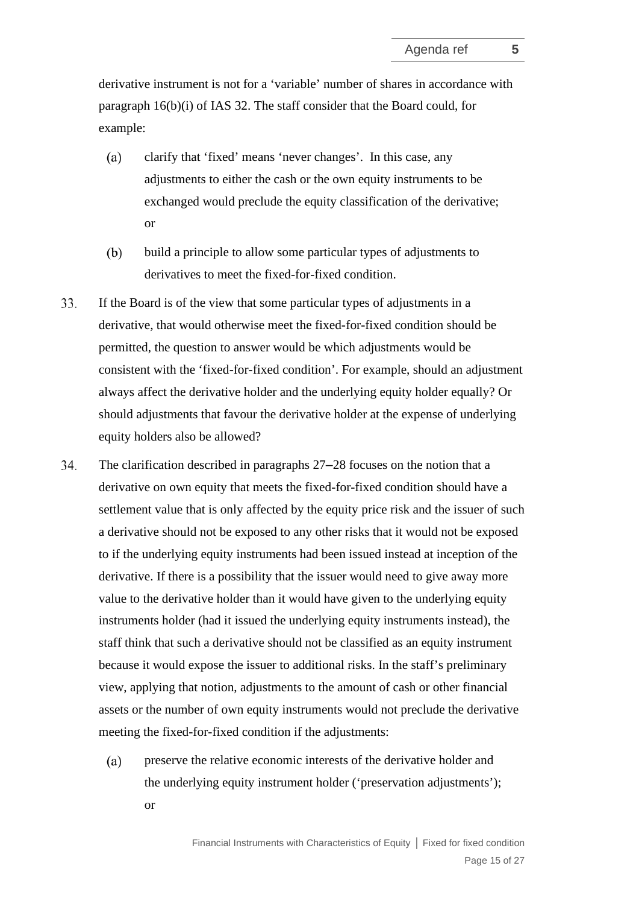derivative instrument is not for a 'variable' number of shares in accordance with paragraph 16(b)(i) of IAS 32. The staff consider that the Board could, for example:

- $(a)$ clarify that 'fixed' means 'never changes'. In this case, any adjustments to either the cash or the own equity instruments to be exchanged would preclude the equity classification of the derivative; or
- $(b)$ build a principle to allow some particular types of adjustments to derivatives to meet the fixed-for-fixed condition.
- 33. If the Board is of the view that some particular types of adjustments in a derivative, that would otherwise meet the fixed-for-fixed condition should be permitted, the question to answer would be which adjustments would be consistent with the 'fixed-for-fixed condition'. For example, should an adjustment always affect the derivative holder and the underlying equity holder equally? Or should adjustments that favour the derivative holder at the expense of underlying equity holders also be allowed?
- <span id="page-14-1"></span><span id="page-14-0"></span>34. The clarification described in paragraphs [27](#page-12-0)–[28](#page-12-1) focuses on the notion that a derivative on own equity that meets the fixed-for-fixed condition should have a settlement value that is only affected by the equity price risk and the issuer of such a derivative should not be exposed to any other risks that it would not be exposed to if the underlying equity instruments had been issued instead at inception of the derivative. If there is a possibility that the issuer would need to give away more value to the derivative holder than it would have given to the underlying equity instruments holder (had it issued the underlying equity instruments instead), the staff think that such a derivative should not be classified as an equity instrument because it would expose the issuer to additional risks. In the staff's preliminary view, applying that notion, adjustments to the amount of cash or other financial assets or the number of own equity instruments would not preclude the derivative meeting the fixed-for-fixed condition if the adjustments:
	- $(a)$ preserve the relative economic interests of the derivative holder and the underlying equity instrument holder ('preservation adjustments'); or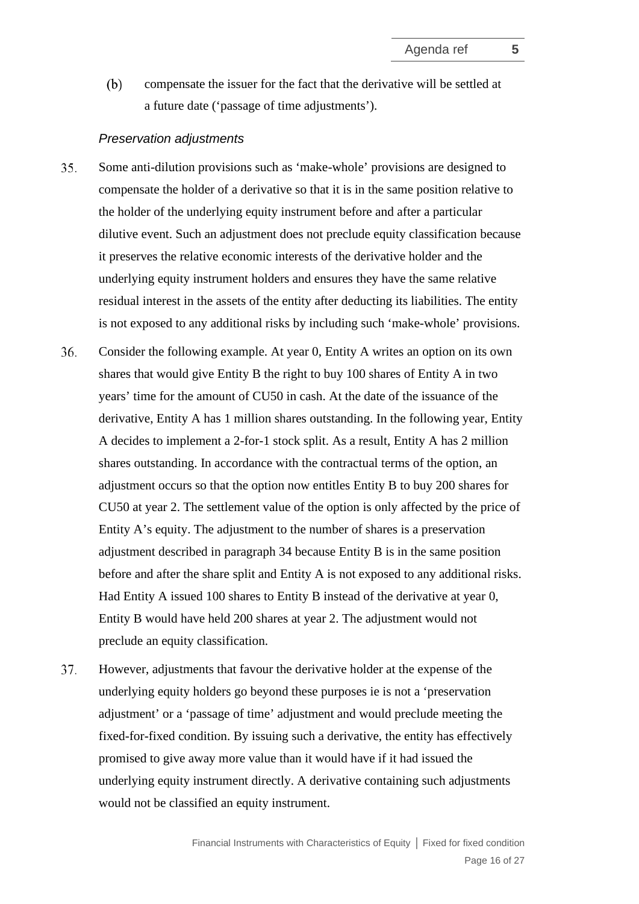$(b)$ compensate the issuer for the fact that the derivative will be settled at a future date ('passage of time adjustments').

#### *Preservation adjustments*

- <span id="page-15-0"></span>35. Some anti-dilution provisions such as 'make-whole' provisions are designed to compensate the holder of a derivative so that it is in the same position relative to the holder of the underlying equity instrument before and after a particular dilutive event. Such an adjustment does not preclude equity classification because it preserves the relative economic interests of the derivative holder and the underlying equity instrument holders and ensures they have the same relative residual interest in the assets of the entity after deducting its liabilities. The entity is not exposed to any additional risks by including such 'make-whole' provisions.
- 36. Consider the following example. At year 0, Entity A writes an option on its own shares that would give Entity B the right to buy 100 shares of Entity A in two years' time for the amount of CU50 in cash. At the date of the issuance of the derivative, Entity A has 1 million shares outstanding. In the following year, Entity A decides to implement a 2-for-1 stock split. As a result, Entity A has 2 million shares outstanding. In accordance with the contractual terms of the option, an adjustment occurs so that the option now entitles Entity B to buy 200 shares for CU50 at year 2. The settlement value of the option is only affected by the price of Entity A's equity. The adjustment to the number of shares is a preservation adjustment described in paragraph [34](#page-14-0) because Entity B is in the same position before and after the share split and Entity A is not exposed to any additional risks. Had Entity A issued 100 shares to Entity B instead of the derivative at year 0, Entity B would have held 200 shares at year 2. The adjustment would not preclude an equity classification.
- <span id="page-15-1"></span>37. However, adjustments that favour the derivative holder at the expense of the underlying equity holders go beyond these purposes ie is not a 'preservation adjustment' or a 'passage of time' adjustment and would preclude meeting the fixed-for-fixed condition. By issuing such a derivative, the entity has effectively promised to give away more value than it would have if it had issued the underlying equity instrument directly. A derivative containing such adjustments would not be classified an equity instrument.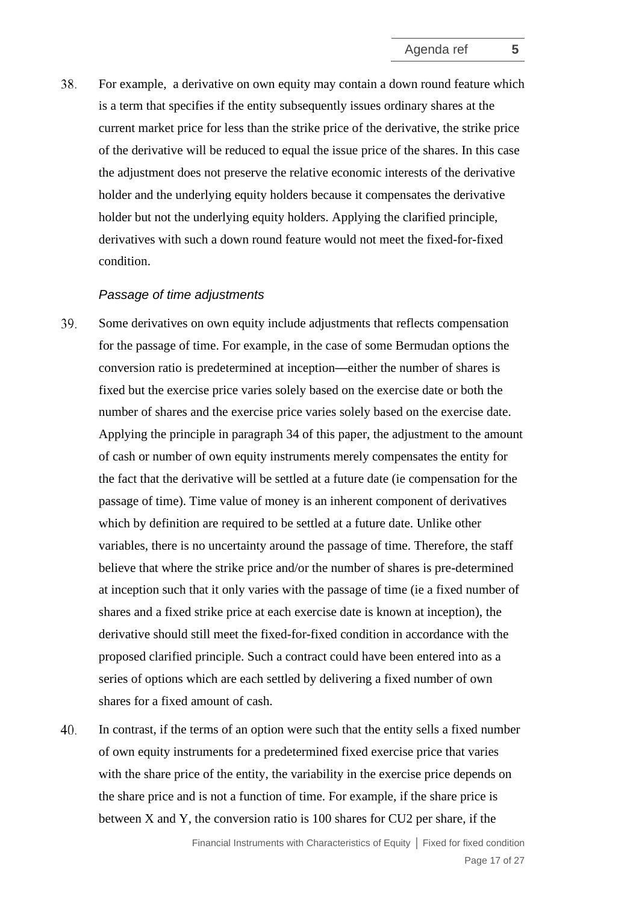38. For example, a derivative on own equity may contain a down round feature which is a term that specifies if the entity subsequently issues ordinary shares at the current market price for less than the strike price of the derivative, the strike price of the derivative will be reduced to equal the issue price of the shares. In this case the adjustment does not preserve the relative economic interests of the derivative holder and the underlying equity holders because it compensates the derivative holder but not the underlying equity holders. Applying the clarified principle, derivatives with such a down round feature would not meet the fixed-for-fixed condition.

#### *Passage of time adjustments*

- <span id="page-16-0"></span>39. Some derivatives on own equity include adjustments that reflects compensation for the passage of time. For example, in the case of some Bermudan options the conversion ratio is predetermined at inception—either the number of shares is fixed but the exercise price varies solely based on the exercise date or both the number of shares and the exercise price varies solely based on the exercise date. Applying the principle in paragraph [34](#page-14-1) of this paper, the adjustment to the amount of cash or number of own equity instruments merely compensates the entity for the fact that the derivative will be settled at a future date (ie compensation for the passage of time). Time value of money is an inherent component of derivatives which by definition are required to be settled at a future date. Unlike other variables, there is no uncertainty around the passage of time. Therefore, the staff believe that where the strike price and/or the number of shares is pre-determined at inception such that it only varies with the passage of time (ie a fixed number of shares and a fixed strike price at each exercise date is known at inception), the derivative should still meet the fixed-for-fixed condition in accordance with the proposed clarified principle. Such a contract could have been entered into as a series of options which are each settled by delivering a fixed number of own shares for a fixed amount of cash.
- 40. In contrast, if the terms of an option were such that the entity sells a fixed number of own equity instruments for a predetermined fixed exercise price that varies with the share price of the entity, the variability in the exercise price depends on the share price and is not a function of time. For example, if the share price is between X and Y, the conversion ratio is 100 shares for CU2 per share, if the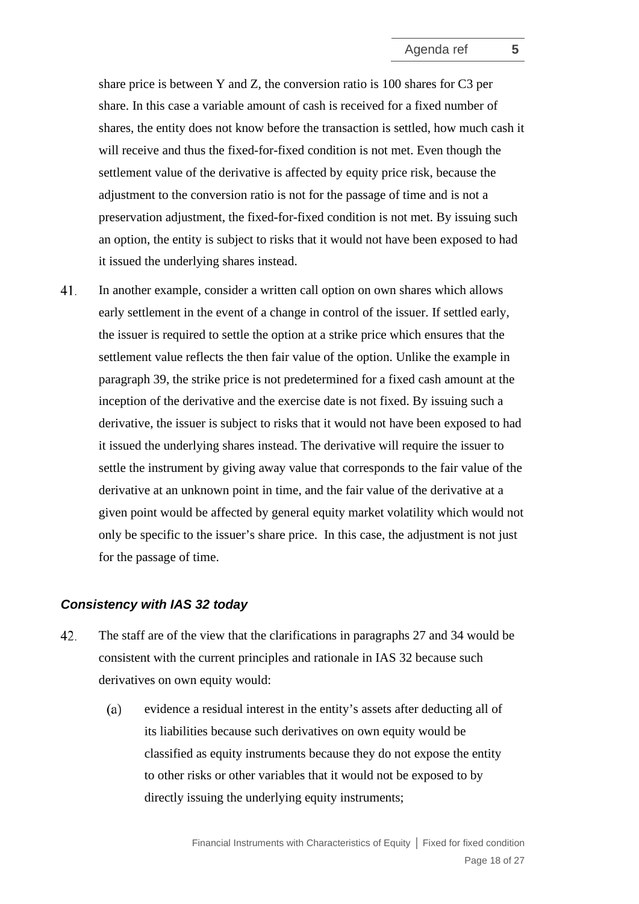share price is between Y and Z, the conversion ratio is 100 shares for C3 per share. In this case a variable amount of cash is received for a fixed number of shares, the entity does not know before the transaction is settled, how much cash it will receive and thus the fixed-for-fixed condition is not met. Even though the settlement value of the derivative is affected by equity price risk, because the adjustment to the conversion ratio is not for the passage of time and is not a preservation adjustment, the fixed-for-fixed condition is not met. By issuing such an option, the entity is subject to risks that it would not have been exposed to had it issued the underlying shares instead.

<span id="page-17-0"></span> $41.$ In another example, consider a written call option on own shares which allows early settlement in the event of a change in control of the issuer. If settled early, the issuer is required to settle the option at a strike price which ensures that the settlement value reflects the then fair value of the option. Unlike the example in paragraph [39,](#page-16-0) the strike price is not predetermined for a fixed cash amount at the inception of the derivative and the exercise date is not fixed. By issuing such a derivative, the issuer is subject to risks that it would not have been exposed to had it issued the underlying shares instead. The derivative will require the issuer to settle the instrument by giving away value that corresponds to the fair value of the derivative at an unknown point in time, and the fair value of the derivative at a given point would be affected by general equity market volatility which would not only be specific to the issuer's share price. In this case, the adjustment is not just for the passage of time.

#### *Consistency with IAS 32 today*

- 42. The staff are of the view that the clarifications in paragraphs [27](#page-12-0) and [34](#page-14-1) would be consistent with the current principles and rationale in IAS 32 because such derivatives on own equity would:
	- $(a)$ evidence a residual interest in the entity's assets after deducting all of its liabilities because such derivatives on own equity would be classified as equity instruments because they do not expose the entity to other risks or other variables that it would not be exposed to by directly issuing the underlying equity instruments;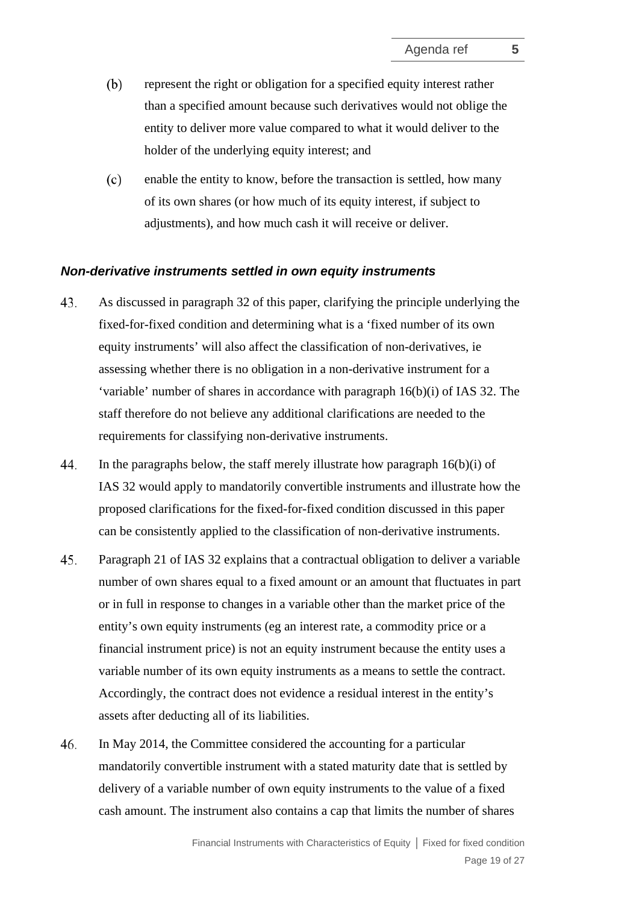- $(b)$ represent the right or obligation for a specified equity interest rather than a specified amount because such derivatives would not oblige the entity to deliver more value compared to what it would deliver to the holder of the underlying equity interest; and
- $(c)$ enable the entity to know, before the transaction is settled, how many of its own shares (or how much of its equity interest, if subject to adjustments), and how much cash it will receive or deliver.

#### *Non-derivative instruments settled in own equity instruments*

- 43. As discussed in paragraph [32](#page-13-0) of this paper, clarifying the principle underlying the fixed-for-fixed condition and determining what is a 'fixed number of its own equity instruments' will also affect the classification of non-derivatives, ie assessing whether there is no obligation in a non-derivative instrument for a 'variable' number of shares in accordance with paragraph 16(b)(i) of IAS 32. The staff therefore do not believe any additional clarifications are needed to the requirements for classifying non-derivative instruments.
- 44. In the paragraphs below, the staff merely illustrate how paragraph  $16(b)(i)$  of IAS 32 would apply to mandatorily convertible instruments and illustrate how the proposed clarifications for the fixed-for-fixed condition discussed in this paper can be consistently applied to the classification of non-derivative instruments.
- 45. Paragraph 21 of IAS 32 explains that a contractual obligation to deliver a variable number of own shares equal to a fixed amount or an amount that fluctuates in part or in full in response to changes in a variable other than the market price of the entity's own equity instruments (eg an interest rate, a commodity price or a financial instrument price) is not an equity instrument because the entity uses a variable number of its own equity instruments as a means to settle the contract. Accordingly, the contract does not evidence a residual interest in the entity's assets after deducting all of its liabilities.
- <span id="page-18-0"></span>46. In May 2014, the Committee considered the accounting for a particular mandatorily convertible instrument with a stated maturity date that is settled by delivery of a variable number of own equity instruments to the value of a fixed cash amount. The instrument also contains a cap that limits the number of shares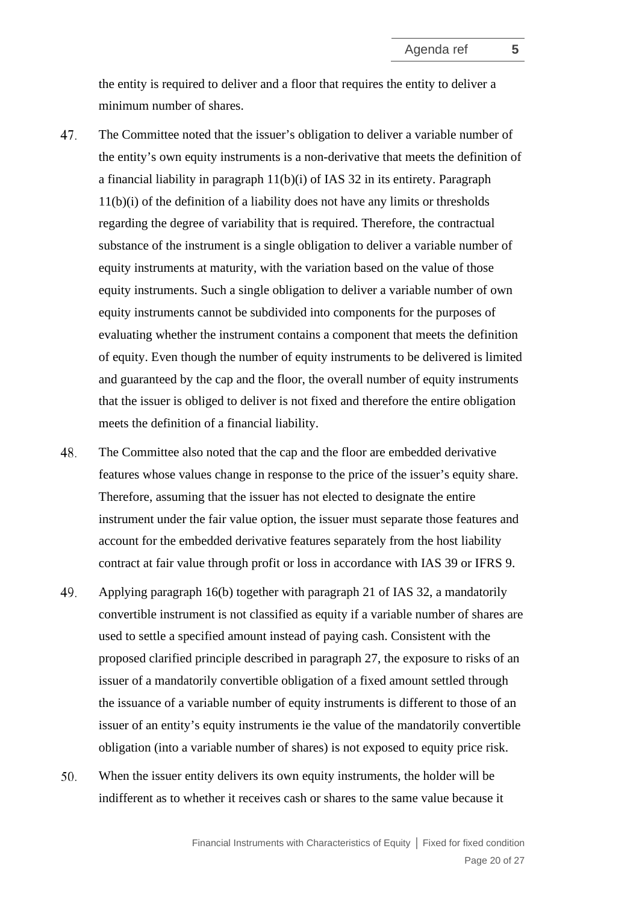the entity is required to deliver and a floor that requires the entity to deliver a minimum number of shares.

47. The Committee noted that the issuer's obligation to deliver a variable number of the entity's own equity instruments is a non-derivative that meets the definition of a financial liability in paragraph 11(b)(i) of IAS 32 in its entirety. Paragraph 11(b)(i) of the definition of a liability does not have any limits or thresholds regarding the degree of variability that is required. Therefore, the contractual substance of the instrument is a single obligation to deliver a variable number of equity instruments at maturity, with the variation based on the value of those equity instruments. Such a single obligation to deliver a variable number of own equity instruments cannot be subdivided into components for the purposes of evaluating whether the instrument contains a component that meets the definition of equity. Even though the number of equity instruments to be delivered is limited and guaranteed by the cap and the floor, the overall number of equity instruments that the issuer is obliged to deliver is not fixed and therefore the entire obligation meets the definition of a financial liability.

48. The Committee also noted that the cap and the floor are embedded derivative features whose values change in response to the price of the issuer's equity share. Therefore, assuming that the issuer has not elected to designate the entire instrument under the fair value option, the issuer must separate those features and account for the embedded derivative features separately from the host liability contract at fair value through profit or loss in accordance with IAS 39 or IFRS 9.

- 49. Applying paragraph 16(b) together with paragraph 21 of IAS 32, a mandatorily convertible instrument is not classified as equity if a variable number of shares are used to settle a specified amount instead of paying cash. Consistent with the proposed clarified principle described in paragraph [27,](#page-12-0) the exposure to risks of an issuer of a mandatorily convertible obligation of a fixed amount settled through the issuance of a variable number of equity instruments is different to those of an issuer of an entity's equity instruments ie the value of the mandatorily convertible obligation (into a variable number of shares) is not exposed to equity price risk.
- 50. When the issuer entity delivers its own equity instruments, the holder will be indifferent as to whether it receives cash or shares to the same value because it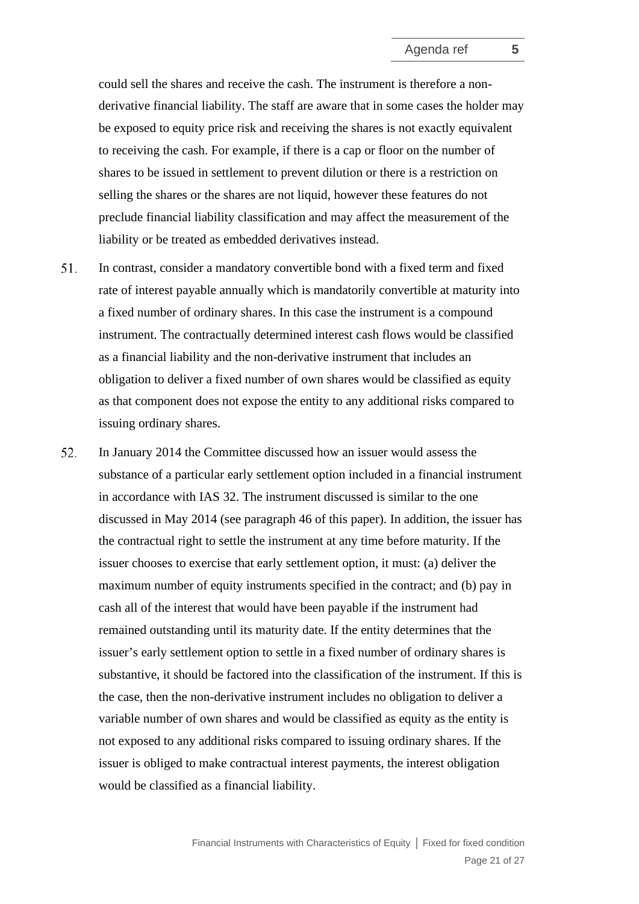could sell the shares and receive the cash. The instrument is therefore a nonderivative financial liability. The staff are aware that in some cases the holder may be exposed to equity price risk and receiving the shares is not exactly equivalent to receiving the cash. For example, if there is a cap or floor on the number of shares to be issued in settlement to prevent dilution or there is a restriction on selling the shares or the shares are not liquid, however these features do not preclude financial liability classification and may affect the measurement of the liability or be treated as embedded derivatives instead.

- <span id="page-20-0"></span> $51.$ In contrast, consider a mandatory convertible bond with a fixed term and fixed rate of interest payable annually which is mandatorily convertible at maturity into a fixed number of ordinary shares. In this case the instrument is a compound instrument. The contractually determined interest cash flows would be classified as a financial liability and the non-derivative instrument that includes an obligation to deliver a fixed number of own shares would be classified as equity as that component does not expose the entity to any additional risks compared to issuing ordinary shares.
- 52. In January 2014 the Committee discussed how an issuer would assess the substance of a particular early settlement option included in a financial instrument in accordance with IAS 32. The instrument discussed is similar to the one discussed in May 2014 (see paragraph [46](#page-18-0) of this paper). In addition, the issuer has the contractual right to settle the instrument at any time before maturity. If the issuer chooses to exercise that early settlement option, it must: (a) deliver the maximum number of equity instruments specified in the contract; and (b) pay in cash all of the interest that would have been payable if the instrument had remained outstanding until its maturity date. If the entity determines that the issuer's early settlement option to settle in a fixed number of ordinary shares is substantive, it should be factored into the classification of the instrument. If this is the case, then the non-derivative instrument includes no obligation to deliver a variable number of own shares and would be classified as equity as the entity is not exposed to any additional risks compared to issuing ordinary shares. If the issuer is obliged to make contractual interest payments, the interest obligation would be classified as a financial liability.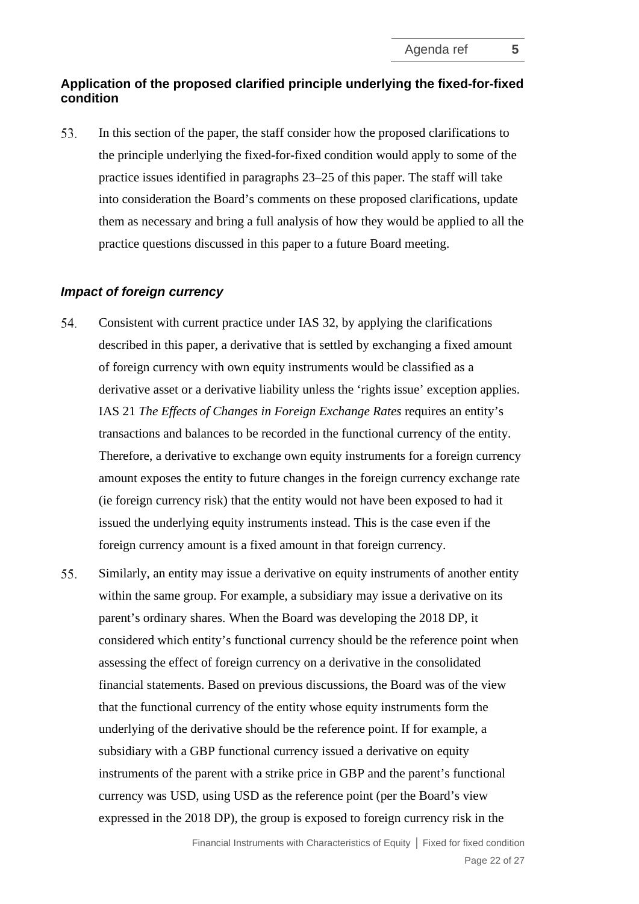# **Application of the proposed clarified principle underlying the fixed-for-fixed condition**

<span id="page-21-0"></span>53. In this section of the paper, the staff consider how the proposed clarifications to the principle underlying the fixed-for-fixed condition would apply to some of the practice issues identified in paragraphs [23](#page-8-0)[–25](#page-10-0) of this paper. The staff will take into consideration the Board's comments on these proposed clarifications, update them as necessary and bring a full analysis of how they would be applied to all the practice questions discussed in this paper to a future Board meeting.

#### *Impact of foreign currency*

- <span id="page-21-1"></span>54. Consistent with current practice under IAS 32, by applying the clarifications described in this paper, a derivative that is settled by exchanging a fixed amount of foreign currency with own equity instruments would be classified as a derivative asset or a derivative liability unless the 'rights issue' exception applies. IAS 21 *The Effects of Changes in Foreign Exchange Rates* requires an entity's transactions and balances to be recorded in the functional currency of the entity. Therefore, a derivative to exchange own equity instruments for a foreign currency amount exposes the entity to future changes in the foreign currency exchange rate (ie foreign currency risk) that the entity would not have been exposed to had it issued the underlying equity instruments instead. This is the case even if the foreign currency amount is a fixed amount in that foreign currency.
- 55. Similarly, an entity may issue a derivative on equity instruments of another entity within the same group. For example, a subsidiary may issue a derivative on its parent's ordinary shares. When the Board was developing the 2018 DP, it considered which entity's functional currency should be the reference point when assessing the effect of foreign currency on a derivative in the consolidated financial statements. Based on previous discussions, the Board was of the view that the functional currency of the entity whose equity instruments form the underlying of the derivative should be the reference point. If for example, a subsidiary with a GBP functional currency issued a derivative on equity instruments of the parent with a strike price in GBP and the parent's functional currency was USD, using USD as the reference point (per the Board's view expressed in the 2018 DP), the group is exposed to foreign currency risk in the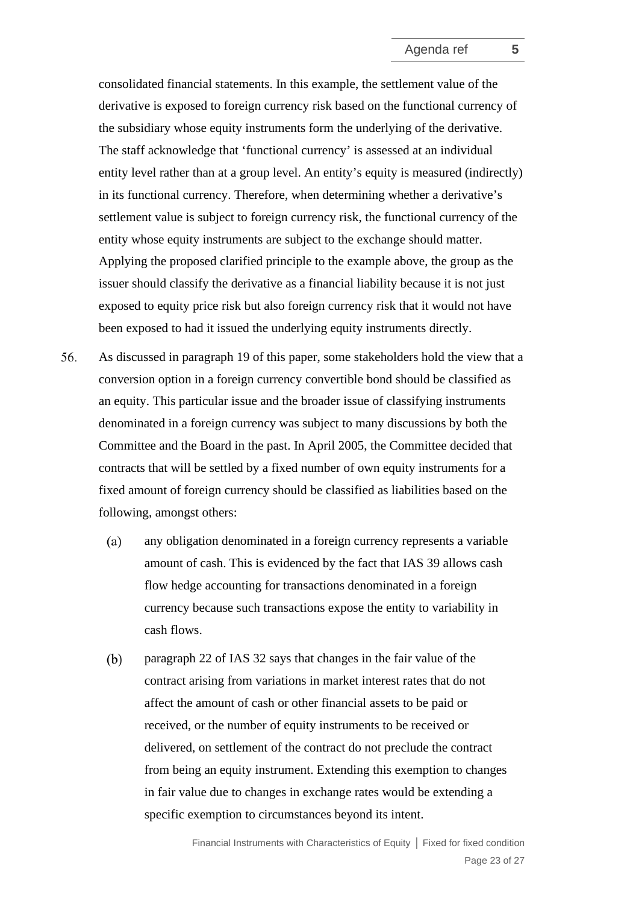consolidated financial statements. In this example, the settlement value of the derivative is exposed to foreign currency risk based on the functional currency of the subsidiary whose equity instruments form the underlying of the derivative. The staff acknowledge that 'functional currency' is assessed at an individual entity level rather than at a group level. An entity's equity is measured (indirectly) in its functional currency. Therefore, when determining whether a derivative's settlement value is subject to foreign currency risk, the functional currency of the entity whose equity instruments are subject to the exchange should matter. Applying the proposed clarified principle to the example above, the group as the issuer should classify the derivative as a financial liability because it is not just exposed to equity price risk but also foreign currency risk that it would not have been exposed to had it issued the underlying equity instruments directly.

- 56. As discussed in paragraph [19](#page-7-2) of this paper, some stakeholders hold the view that a conversion option in a foreign currency convertible bond should be classified as an equity. This particular issue and the broader issue of classifying instruments denominated in a foreign currency was subject to many discussions by both the Committee and the Board in the past. In April 2005, the Committee decided that contracts that will be settled by a fixed number of own equity instruments for a fixed amount of foreign currency should be classified as liabilities based on the following, amongst others:
	- $(a)$ any obligation denominated in a foreign currency represents a variable amount of cash. This is evidenced by the fact that IAS 39 allows cash flow hedge accounting for transactions denominated in a foreign currency because such transactions expose the entity to variability in cash flows.
	- $(b)$ paragraph 22 of IAS 32 says that changes in the fair value of the contract arising from variations in market interest rates that do not affect the amount of cash or other financial assets to be paid or received, or the number of equity instruments to be received or delivered, on settlement of the contract do not preclude the contract from being an equity instrument. Extending this exemption to changes in fair value due to changes in exchange rates would be extending a specific exemption to circumstances beyond its intent.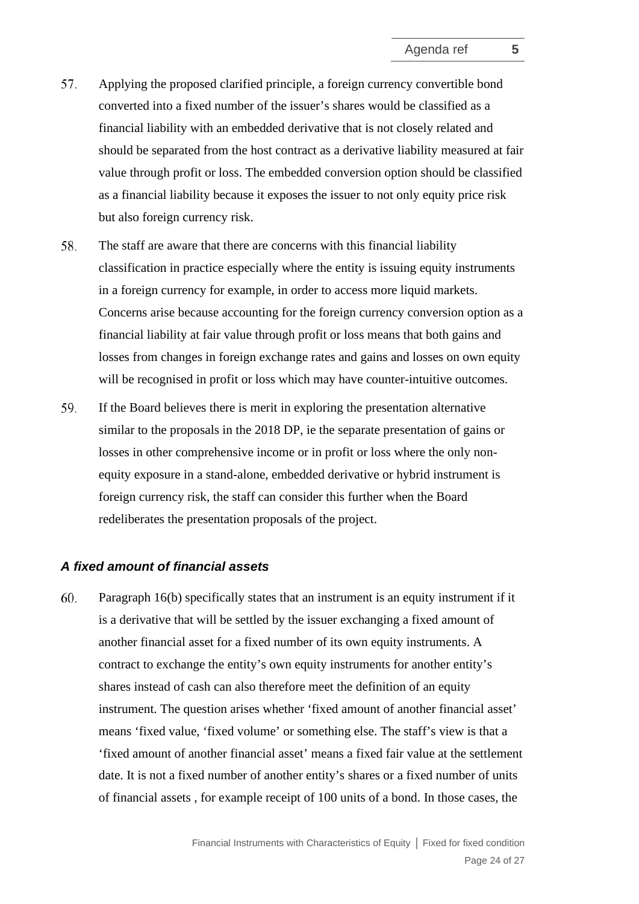- 57. Applying the proposed clarified principle, a foreign currency convertible bond converted into a fixed number of the issuer's shares would be classified as a financial liability with an embedded derivative that is not closely related and should be separated from the host contract as a derivative liability measured at fair value through profit or loss. The embedded conversion option should be classified as a financial liability because it exposes the issuer to not only equity price risk but also foreign currency risk.
- 58. The staff are aware that there are concerns with this financial liability classification in practice especially where the entity is issuing equity instruments in a foreign currency for example, in order to access more liquid markets. Concerns arise because accounting for the foreign currency conversion option as a financial liability at fair value through profit or loss means that both gains and losses from changes in foreign exchange rates and gains and losses on own equity will be recognised in profit or loss which may have counter-intuitive outcomes.
- 59. If the Board believes there is merit in exploring the presentation alternative similar to the proposals in the 2018 DP, ie the separate presentation of gains or losses in other comprehensive income or in profit or loss where the only nonequity exposure in a stand-alone, embedded derivative or hybrid instrument is foreign currency risk, the staff can consider this further when the Board redeliberates the presentation proposals of the project.

#### *A fixed amount of financial assets*

60. Paragraph 16(b) specifically states that an instrument is an equity instrument if it is a derivative that will be settled by the issuer exchanging a fixed amount of another financial asset for a fixed number of its own equity instruments. A contract to exchange the entity's own equity instruments for another entity's shares instead of cash can also therefore meet the definition of an equity instrument. The question arises whether 'fixed amount of another financial asset' means 'fixed value, 'fixed volume' or something else. The staff's view is that a 'fixed amount of another financial asset' means a fixed fair value at the settlement date. It is not a fixed number of another entity's shares or a fixed number of units of financial assets , for example receipt of 100 units of a bond. In those cases, the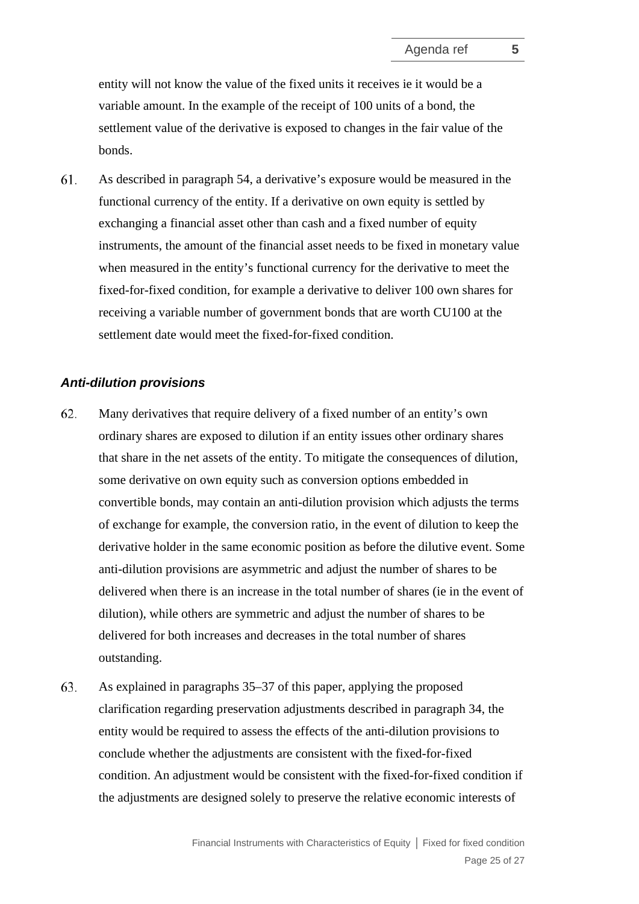entity will not know the value of the fixed units it receives ie it would be a variable amount. In the example of the receipt of 100 units of a bond, the settlement value of the derivative is exposed to changes in the fair value of the bonds.

61. As described in paragraph [54,](#page-21-1) a derivative's exposure would be measured in the functional currency of the entity. If a derivative on own equity is settled by exchanging a financial asset other than cash and a fixed number of equity instruments, the amount of the financial asset needs to be fixed in monetary value when measured in the entity's functional currency for the derivative to meet the fixed-for-fixed condition, for example a derivative to deliver 100 own shares for receiving a variable number of government bonds that are worth CU100 at the settlement date would meet the fixed-for-fixed condition.

#### *Anti-dilution provisions*

- 62. Many derivatives that require delivery of a fixed number of an entity's own ordinary shares are exposed to dilution if an entity issues other ordinary shares that share in the net assets of the entity. To mitigate the consequences of dilution, some derivative on own equity such as conversion options embedded in convertible bonds, may contain an anti-dilution provision which adjusts the terms of exchange for example, the conversion ratio, in the event of dilution to keep the derivative holder in the same economic position as before the dilutive event. Some anti-dilution provisions are asymmetric and adjust the number of shares to be delivered when there is an increase in the total number of shares (ie in the event of dilution), while others are symmetric and adjust the number of shares to be delivered for both increases and decreases in the total number of shares outstanding.
- 63. As explained in paragraphs [35–](#page-15-0)[37](#page-15-1) of this paper, applying the proposed clarification regarding preservation adjustments described in paragraph [34,](#page-14-1) the entity would be required to assess the effects of the anti-dilution provisions to conclude whether the adjustments are consistent with the fixed-for-fixed condition. An adjustment would be consistent with the fixed-for-fixed condition if the adjustments are designed solely to preserve the relative economic interests of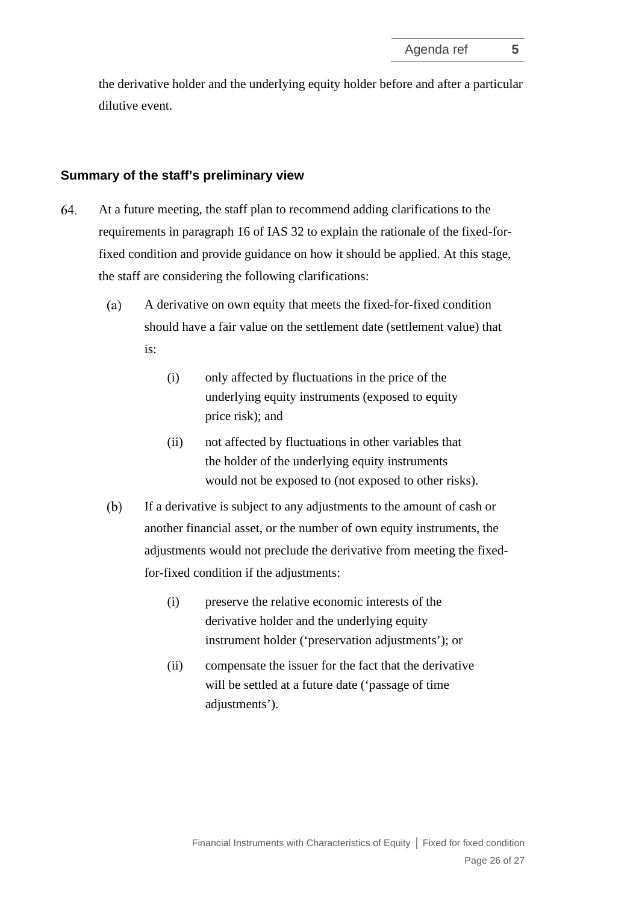<span id="page-25-0"></span>the derivative holder and the underlying equity holder before and after a particular dilutive event.

# **Summary of the staff's preliminary view**

- <span id="page-25-1"></span>64. At a future meeting, the staff plan to recommend adding clarifications to the requirements in paragraph 16 of IAS 32 to explain the rationale of the fixed-forfixed condition and provide guidance on how it should be applied. At this stage, the staff are considering the following clarifications:
	- $(a)$ A derivative on own equity that meets the fixed-for-fixed condition should have a fair value on the settlement date (settlement value) that is:
		- (i) only affected by fluctuations in the price of the underlying equity instruments (exposed to equity price risk); and
		- (ii) not affected by fluctuations in other variables that the holder of the underlying equity instruments would not be exposed to (not exposed to other risks).
	- $(b)$ If a derivative is subject to any adjustments to the amount of cash or another financial asset, or the number of own equity instruments, the adjustments would not preclude the derivative from meeting the fixedfor-fixed condition if the adjustments:
		- (i) preserve the relative economic interests of the derivative holder and the underlying equity instrument holder ('preservation adjustments'); or
		- (ii) compensate the issuer for the fact that the derivative will be settled at a future date ('passage of time adjustments').